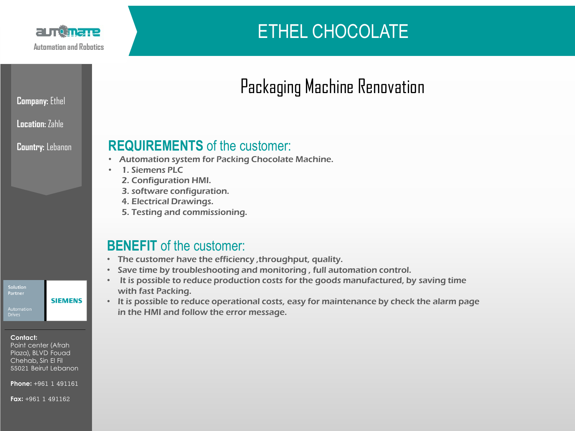

# ETHEL CHOCOLATE

#### **Location:** Zahle

**Company:** Ethel

**Country:** Lebanon

### **REQUIREMENTS** of the customer:

- Automation system for Packing Chocolate Machine.
- 1. Siemens PLC
	- 2. Configuration HMI.
	- 3. software configuration.
	- 4. Electrical Drawings.
	- 5. Testing and commissioning.

## **BENEFIT** of the customer:

- The customer have the efficiency ,throughput, quality.
- Save time by troubleshooting and monitoring , full automation control.
- It is possible to reduce production costs for the goods manufactured, by saving time with fast Packing.
- It is possible to reduce operational costs, easy for maintenance by check the alarm page in the HMI and follow the error message.

Partner

#### **Contact:**

Point center (Afrah Plaza), BLVD Fouad, Chehab, Sin El Fil 55021 Beirut Lebanon

**SIEMENS** 

**Phone:** +961 1 491161

**Fax:** +961 1 491162